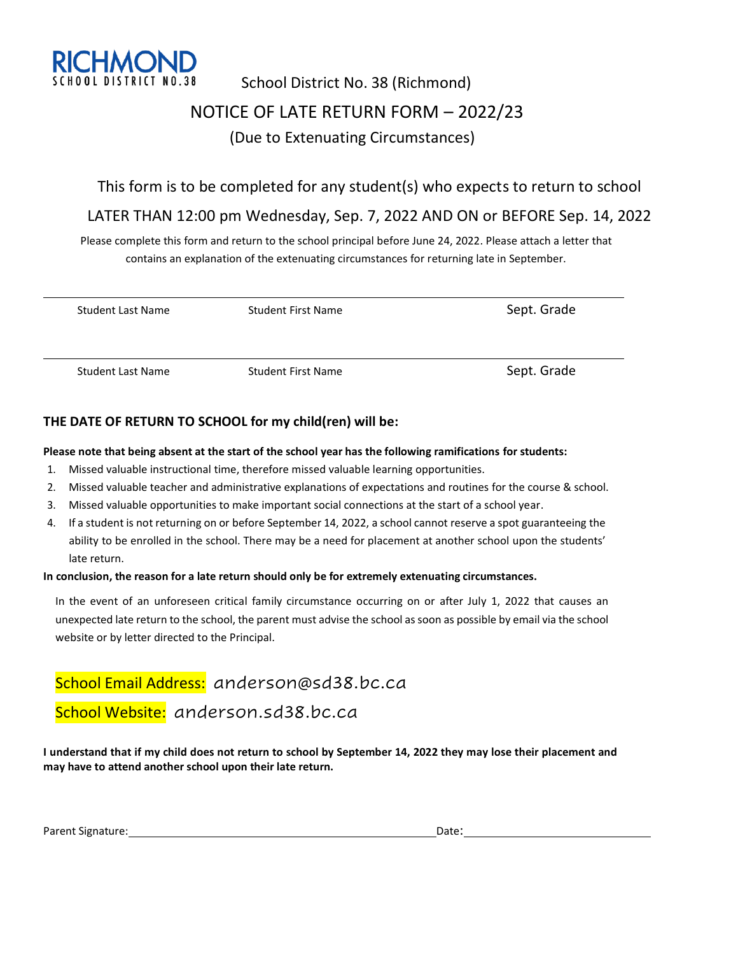

# School District No. 38 (Richmond) NOTICE OF LATE RETURN FORM – 2022/23 (Due to Extenuating Circumstances)

### This form is to be completed for any student(s) who expects to return to school

### LATER THAN 12:00 pm Wednesday, Sep. 7, 2022 AND ON or BEFORE Sep. 14, 2022

Please complete this form and return to the school principal before June 24, 2022. Please attach a letter that contains an explanation of the extenuating circumstances for returning late in September.

| <b>Student Last Name</b> | <b>Student First Name</b> | Sept. Grade |
|--------------------------|---------------------------|-------------|
| Student Last Name        | <b>Student First Name</b> | Sept. Grade |

### **THE DATE OF RETURN TO SCHOOL for my child(ren) will be:**

#### **Please note that being absent at the start of the school year has the following ramifications for students:**

- 1. Missed valuable instructional time, therefore missed valuable learning opportunities.
- 2. Missed valuable teacher and administrative explanations of expectations and routines for the course & school.
- 3. Missed valuable opportunities to make important social connections at the start of a school year.
- 4. If a student is not returning on or before September 14, 2022, a school cannot reserve a spot guaranteeing the ability to be enrolled in the school. There may be a need for placement at another school upon the students' late return.

#### **In conclusion, the reason for a late return should only be for extremely extenuating circumstances.**

In the event of an unforeseen critical family circumstance occurring on or after July 1, 2022 that causes an unexpected late return to the school, the parent must advise the school as soon as possible by email via the school website or by letter directed to the Principal.

School Email Address: anderson@sd38.bc.ca

## School Website: anderson.sd38.bc.ca

**I understand that if my child does not return to school by September 14, 2022 they may lose their placement and may have to attend another school upon their late return.**

| Parent Signature: | Date: |
|-------------------|-------|
|                   |       |